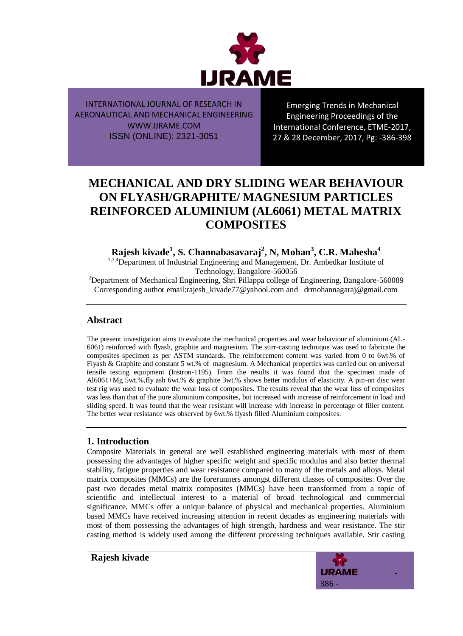

Emerging Trends in Mechanical Engineering Proceedings of the International Conference, ETME-2017, 27 & 28 December, 2017, Pg: -386-398

# **MECHANICAL AND DRY SLIDING WEAR BEHAVIOUR ON FLYASH/GRAPHITE/ MAGNESIUM PARTICLES REINFORCED ALUMINIUM (AL6061) METAL MATRIX COMPOSITES**

**Rajesh kivade<sup>1</sup> , S. Channabasavaraj<sup>2</sup> , N, Mohan<sup>3</sup> , C.R. Mahesha<sup>4</sup>**

<sup>1,3,4</sup>Department of Industrial Engineering and Management, Dr. Ambedkar Institute of Technology, Bangalore-560056

<sup>2</sup>Department of Mechanical Engineering, Shri Pillappa college of Engineering, Bangalore-560089 Corresponding author email:rajesh\_kivade77@yahool.com and drmohannagaraj@gmail.com

## **Abstract**

The present investigation aims to evaluate the mechanical properties and wear behaviour of aluminium (AL-6061) reinforced with flyash, graphite and magnesium. The stirr-casting technique was used to fabricate the composites specimen as per ASTM standards. The reinforcement content was varied from 0 to 6wt.% of Flyash & Graphite and constant 5 wt.% of magnesium. A Mechanical properties was carried out on universal tensile testing equipment (Instron-1195). From the results it was found that the specimen made of Al6061+Mg 5wt.%,fly ash 6wt.% & graphite 3wt.% shows better modulus of elasticity. A pin-on disc wear test rig was used to evaluate the wear loss of composites. The results reveal that the wear loss of composites was less than that of the pure aluminium composites, but increased with increase of reinforcement in load and sliding speed. It was found that the wear resistant will increase with increase in percentage of filler content. The better wear resistance was observed by 6wt.% flyash filled Aluminium composites.

## **1. Introduction**

Composite Materials in general are well established engineering materials with most of them possessing the advantages of higher specific weight and specific modulus and also better thermal stability, fatigue properties and wear resistance compared to many of the metals and alloys. Metal matrix composites (MMCs) are the forerunners amongst different classes of composites. Over the past two decades metal matrix composites (MMCs) have been transformed from a topic of scientific and intellectual interest to a material of broad technological and commercial significance. MMCs offer a unique balance of physical and mechanical properties. Aluminium based MMCs have received increasing attention in recent decades as engineering materials with most of them possessing the advantages of high strength, hardness and wear resistance. The stir casting method is widely used among the different processing techniques available. Stir casting

**Rajesh kivade**

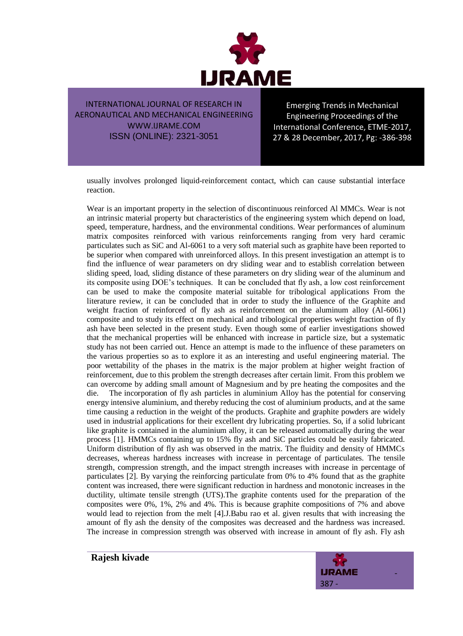

Emerging Trends in Mechanical Engineering Proceedings of the International Conference, ETME-2017, 27 & 28 December, 2017, Pg: -386-398

usually involves prolonged liquid-reinforcement contact, which can cause substantial interface reaction.

Wear is an important property in the selection of discontinuous reinforced Al MMCs. Wear is not an intrinsic material property but characteristics of the engineering system which depend on load, speed, temperature, hardness, and the environmental conditions. Wear performances of aluminum matrix composites reinforced with various reinforcements ranging from very hard ceramic particulates such as SiC and Al-6061 to a very soft material such as graphite have been reported to be superior when compared with unreinforced alloys. In this present investigation an attempt is to find the influence of wear parameters on dry sliding wear and to establish correlation between sliding speed, load, sliding distance of these parameters on dry sliding wear of the aluminum and its composite using DOE's techniques. It can be concluded that fly ash, a low cost reinforcement can be used to make the composite material suitable for tribological applications From the literature review, it can be concluded that in order to study the influence of the Graphite and weight fraction of reinforced of fly ash as reinforcement on the aluminum alloy (Al-6061) composite and to study its effect on mechanical and tribological properties weight fraction of fly ash have been selected in the present study. Even though some of earlier investigations showed that the mechanical properties will be enhanced with increase in particle size, but a systematic study has not been carried out. Hence an attempt is made to the influence of these parameters on the various properties so as to explore it as an interesting and useful engineering material. The poor wettability of the phases in the matrix is the major problem at higher weight fraction of reinforcement, due to this problem the strength decreases after certain limit. From this problem we can overcome by adding small amount of Magnesium and by pre heating the composites and the die. The incorporation of fly ash particles in aluminium Alloy has the potential for conserving energy intensive aluminium, and thereby reducing the cost of aluminium products, and at the same time causing a reduction in the weight of the products. Graphite and graphite powders are widely used in industrial applications for their excellent dry lubricating properties. So, if a solid lubricant like graphite is contained in the aluminium alloy, it can be released automatically during the wear process [1]. HMMCs containing up to 15% fly ash and SiC particles could be easily fabricated. Uniform distribution of fly ash was observed in the matrix. The fluidity and density of HMMCs decreases, whereas hardness increases with increase in percentage of particulates. The tensile strength, compression strength, and the impact strength increases with increase in percentage of particulates [2]. By varying the reinforcing particulate from 0% to 4% found that as the graphite content was increased, there were significant reduction in hardness and monotonic increases in the ductility, ultimate tensile strength (UTS).The graphite contents used for the preparation of the composites were 0%, 1%, 2% and 4%. This is because graphite compositions of 7% and above would lead to rejection from the melt [4].J.Babu rao et al. given results that with increasing the amount of fly ash the density of the composites was decreased and the hardness was increased. The increase in compression strength was observed with increase in amount of fly ash. Fly ash

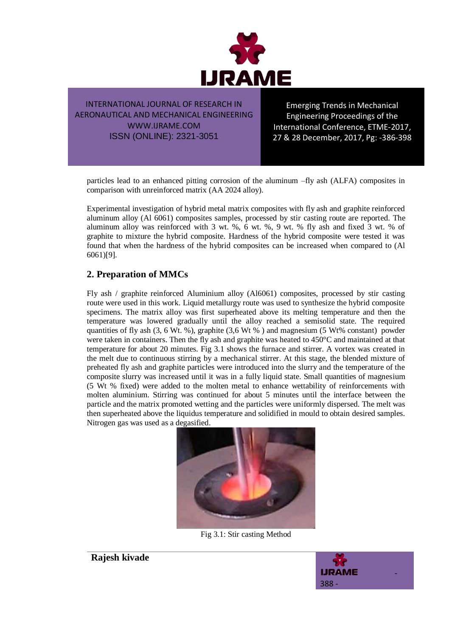

Emerging Trends in Mechanical Engineering Proceedings of the International Conference, ETME-2017, 27 & 28 December, 2017, Pg: -386-398

particles lead to an enhanced pitting corrosion of the aluminum –fly ash (ALFA) composites in comparison with unreinforced matrix (AA 2024 alloy).

Experimental investigation of hybrid metal matrix composites with fly ash and graphite reinforced aluminum alloy (Al 6061) composites samples, processed by stir casting route are reported. The aluminum alloy was reinforced with 3 wt. %, 6 wt. %, 9 wt. % fly ash and fixed 3 wt. % of graphite to mixture the hybrid composite. Hardness of the hybrid composite were tested it was found that when the hardness of the hybrid composites can be increased when compared to (Al 6061)[9].

## **2. Preparation of MMCs**

Fly ash / graphite reinforced Aluminium alloy (Al6061) composites, processed by stir casting route were used in this work. Liquid metallurgy route was used to synthesize the hybrid composite specimens. The matrix alloy was first superheated above its melting temperature and then the temperature was lowered gradually until the alloy reached a semisolid state. The required quantities of fly ash (3, 6 Wt. %), graphite (3,6 Wt % ) and magnesium (5 Wt% constant) powder were taken in containers. Then the fly ash and graphite was heated to 450°C and maintained at that temperature for about 20 minutes. Fig 3.1 shows the furnace and stirrer. A vortex was created in the melt due to continuous stirring by a mechanical stirrer. At this stage, the blended mixture of preheated fly ash and graphite particles were introduced into the slurry and the temperature of the composite slurry was increased until it was in a fully liquid state. Small quantities of magnesium (5 Wt % fixed) were added to the molten metal to enhance wettability of reinforcements with molten aluminium. Stirring was continued for about 5 minutes until the interface between the particle and the matrix promoted wetting and the particles were uniformly dispersed. The melt was then superheated above the liquidus temperature and solidified in mould to obtain desired samples. Nitrogen gas was used as a degasified.



Fig 3.1: Stir casting Method



**Rajesh kivade**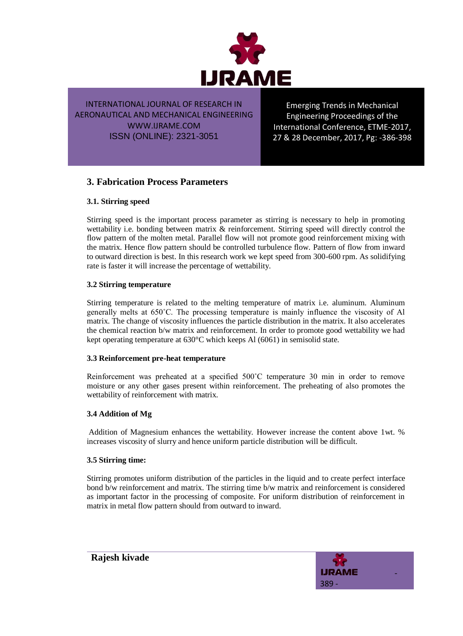

Emerging Trends in Mechanical Engineering Proceedings of the International Conference, ETME-2017, 27 & 28 December, 2017, Pg: -386-398

## **3. Fabrication Process Parameters**

## **3.1. Stirring speed**

Stirring speed is the important process parameter as stirring is necessary to help in promoting wettability i.e. bonding between matrix & reinforcement. Stirring speed will directly control the flow pattern of the molten metal. Parallel flow will not promote good reinforcement mixing with the matrix. Hence flow pattern should be controlled turbulence flow. Pattern of flow from inward to outward direction is best. In this research work we kept speed from 300-600 rpm. As solidifying rate is faster it will increase the percentage of wettability.

### **3.2 Stirring temperature**

Stirring temperature is related to the melting temperature of matrix i.e. aluminum. Aluminum generally melts at 650˚C. The processing temperature is mainly influence the viscosity of Al matrix. The change of viscosity influences the particle distribution in the matrix. It also accelerates the chemical reaction b/w matrix and reinforcement. In order to promote good wettability we had kept operating temperature at 630°C which keeps Al (6061) in semisolid state.

#### **3.3 Reinforcement pre-heat temperature**

Reinforcement was preheated at a specified 500˚C temperature 30 min in order to remove moisture or any other gases present within reinforcement. The preheating of also promotes the wettability of reinforcement with matrix.

### **3.4 Addition of Mg**

Addition of Magnesium enhances the wettability. However increase the content above 1wt. % increases viscosity of slurry and hence uniform particle distribution will be difficult.

#### **3.5 Stirring time:**

Stirring promotes uniform distribution of the particles in the liquid and to create perfect interface bond b/w reinforcement and matrix. The stirring time b/w matrix and reinforcement is considered as important factor in the processing of composite. For uniform distribution of reinforcement in matrix in metal flow pattern should from outward to inward.

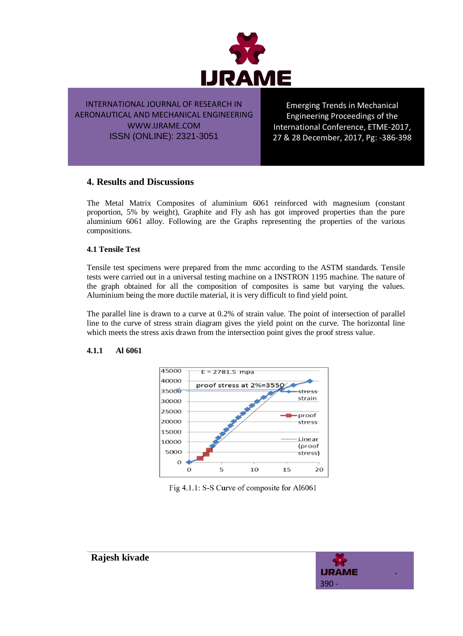

Emerging Trends in Mechanical Engineering Proceedings of the International Conference, ETME-2017, 27 & 28 December, 2017, Pg: -386-398

## **4. Results and Discussions**

The Metal Matrix Composites of aluminium 6061 reinforced with magnesium (constant proportion, 5% by weight), Graphite and Fly ash has got improved properties than the pure aluminium 6061 alloy. Following are the Graphs representing the properties of the various compositions.

#### **4.1 Tensile Test**

Tensile test specimens were prepared from the mmc according to the ASTM standards. Tensile tests were carried out in a universal testing machine on a INSTRON 1195 machine. The nature of the graph obtained for all the composition of composites is same but varying the values. Aluminium being the more ductile material, it is very difficult to find yield point.

The parallel line is drawn to a curve at 0.2% of strain value. The point of intersection of parallel line to the curve of stress strain diagram gives the yield point on the curve. The horizontal line which meets the stress axis drawn from the intersection point gives the proof stress value.

#### **4.1.1 Al 6061**



#### Fig 4.1.1: S-S Curve of composite for Al6061

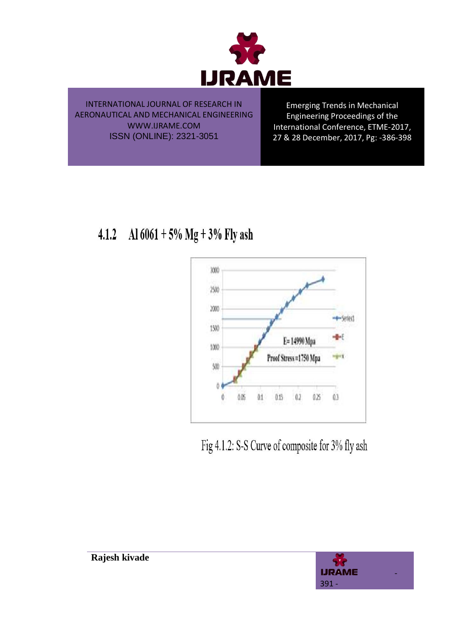

Emerging Trends in Mechanical Engineering Proceedings of the International Conference, ETME-2017, 27 & 28 December, 2017, Pg: -386-398

Al  $6061 + 5\%$  Mg + 3% Fly ash  $4.1.2$ 



Fig 4.1.2: S-S Curve of composite for 3% fly ash

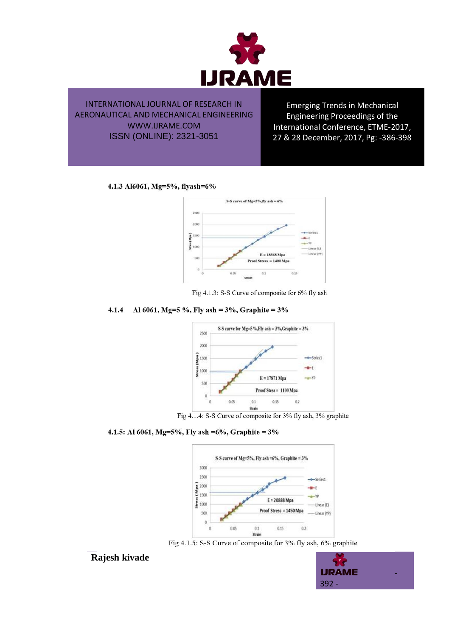

Emerging Trends in Mechanical Engineering Proceedings of the International Conference, ETME-2017, 27 & 28 December, 2017, Pg: -386-398

#### 4.1.3 Al6061, Mg=5%, flyash=6%



Fig 4.1.3: S-S Curve of composite for 6% fly ash

#### Al 6061, Mg=5 %, Fly ash =  $3\%$ , Graphite =  $3\%$  $4.1.4$



Fig 4.1.4: S-S Curve of composite for 3% fly ash, 3% graphite

#### 4.1.5: Al 6061, Mg=5%, Fly ash =6%, Graphite =  $3\%$



Fig 4.1.5: S-S Curve of composite for 3% fly ash, 6% graphite



**Rajesh kivade**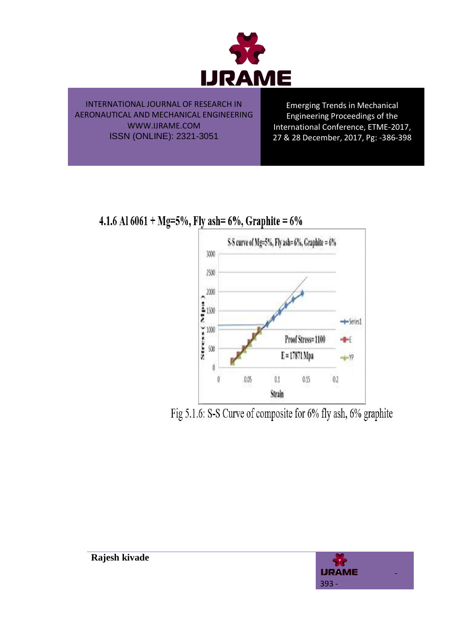

Emerging Trends in Mechanical Engineering Proceedings of the International Conference, ETME-2017, 27 & 28 December, 2017, Pg: -386-398

4.1.6 Al 6061 + Mg=5%, Fly ash= 6%, Graphite = 6%



Fig 5.1.6: S-S Curve of composite for 6% fly ash, 6% graphite

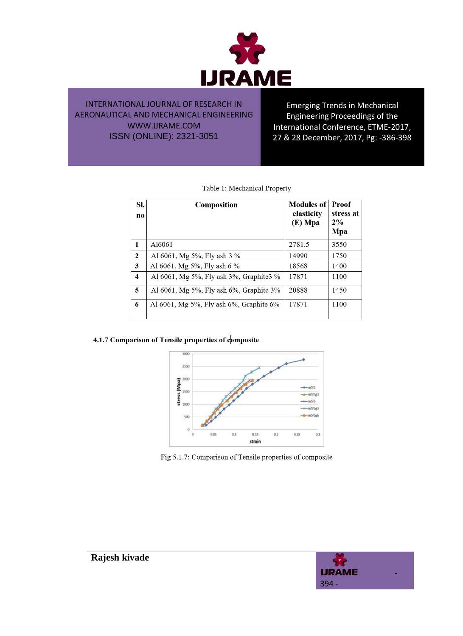

Emerging Trends in Mechanical Engineering Proceedings of the International Conference, ETME-2017, 27 & 28 December, 2017, Pg: -386-398

| Sl.<br>no               | Composition                                | Modules of<br>elasticity<br>$(E)$ Mpa | Proof<br>stress at<br>2%<br>Mpa |
|-------------------------|--------------------------------------------|---------------------------------------|---------------------------------|
| $\mathbf{1}$            | A16061                                     | 2781.5                                | 3550                            |
| $\mathbf{2}$            | Al 6061, Mg 5%, Fly ash 3 %                | 14990                                 | 1750                            |
| 3                       | Al 6061, Mg 5%, Fly ash 6 %                | 18568                                 | 1400                            |
| $\overline{\mathbf{4}}$ | Al 6061, Mg 5%, Fly ash 3%, Graphite 3%    | 17871                                 | 1100                            |
| 5                       | Al $6061$ , Mg 5%, Fly ash 6%, Graphite 3% | 20888                                 | 1450                            |
| 6                       | Al $6061$ , Mg 5%, Fly ash 6%, Graphite 6% | 17871                                 | 1100                            |

|  | Table 1: Mechanical Property |  |
|--|------------------------------|--|
|  |                              |  |

#### 4.1.7 Comparison of Tensile properties of composite



Fig 5.1.7: Comparison of Tensile properties of composite

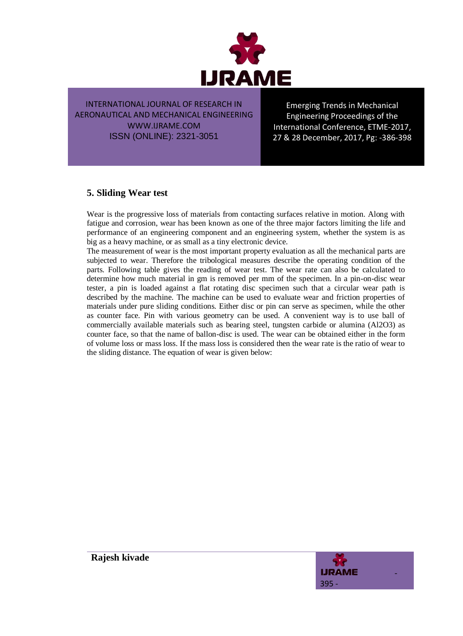

Emerging Trends in Mechanical Engineering Proceedings of the International Conference, ETME-2017, 27 & 28 December, 2017, Pg: -386-398

## **5. Sliding Wear test**

Wear is the progressive loss of materials from contacting surfaces relative in motion. Along with fatigue and corrosion, wear has been known as one of the three major factors limiting the life and performance of an engineering component and an engineering system, whether the system is as big as a heavy machine, or as small as a tiny electronic device.

The measurement of wear is the most important property evaluation as all the mechanical parts are subjected to wear. Therefore the tribological measures describe the operating condition of the parts. Following table gives the reading of wear test. The wear rate can also be calculated to determine how much material in gm is removed per mm of the specimen. In a pin-on-disc wear tester, a pin is loaded against a flat rotating disc specimen such that a circular wear path is described by the machine. The machine can be used to evaluate wear and friction properties of materials under pure sliding conditions. Either disc or pin can serve as specimen, while the other as counter face. Pin with various geometry can be used. A convenient way is to use ball of commercially available materials such as bearing steel, tungsten carbide or alumina (Al2O3) as counter face, so that the name of ballon-disc is used. The wear can be obtained either in the form of volume loss or mass loss. If the mass loss is considered then the wear rate is the ratio of wear to the sliding distance. The equation of wear is given below:

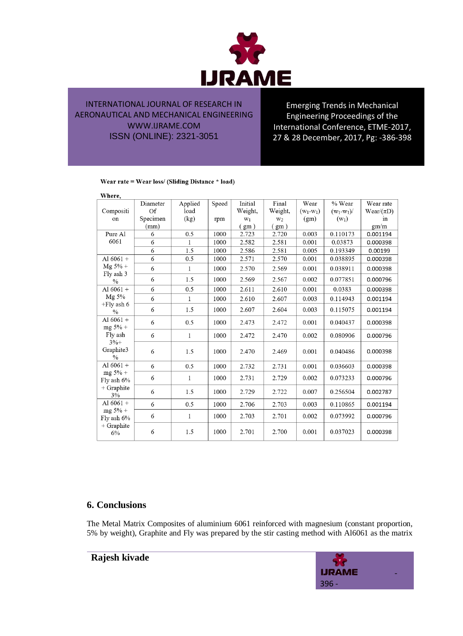

Emerging Trends in Mechanical Engineering Proceedings of the International Conference, ETME-2017, 27 & 28 December, 2017, Pg: -386-398

#### Wear rate = Wear loss/ (Sliding Distance \* load)

| Where,                     |          |              |       |         |                |             |             |                 |
|----------------------------|----------|--------------|-------|---------|----------------|-------------|-------------|-----------------|
|                            | Diameter | Applied      | Speed | Initial | Final          | Wear        | % Wear      | Wear rate       |
| Compositi                  | Of       | load         |       | Weight, | Weight,        | $(w_1-w_1)$ | $(w_1-w_1)$ | Wear/ $(\pi D)$ |
| on                         | Specimen | (kg)         | rpm   | $W_1$   | W <sub>2</sub> | (gm)        | $(w_1)$     | 1n              |
|                            | (mm)     |              |       | (gm)    | (gm)           |             |             | gm/m            |
| Pure Al                    | 6        | 0.5          | 1000  | 2.723   | 2.720          | 0.003       | 0.110173    | 0.001194        |
| 6061                       | 6        | $\mathbf{1}$ | 1000  | 2.582   | 2.581          | 0.001       | 0.03873     | 0.000398        |
|                            | 6        | 1.5          | 1000  | 2.586   | 2.581          | 0.005       | 0.193349    | 0.00199         |
| Al $6061 +$                | 6        | 0.5          | 1000  | 2.571   | 2.570          | 0.001       | 0.038895    | 0.000398        |
| $Mg 5% +$<br>Fly ash 3     | 6        | 1            | 1000  | 2.570   | 2.569          | 0.001       | 0.038911    | 0.000398        |
| $\frac{0}{0}$              | 6        | 1.5          | 1000  | 2.569   | 2.567          | 0.002       | 0.077851    | 0.000796        |
| Al $6061 +$                | 6        | 0.5          | 1000  | 2.611   | 2.610          | 0.001       | 0.0383      | 0.000398        |
| Mg 5%                      | 6        | $\mathbf 1$  | 1000  | 2.610   | 2.607          | 0.003       | 0.114943    | 0.001194        |
| $+Fly$ ash 6<br>$\%$       | 6        | 1.5          | 1000  | 2.607   | 2.604          | 0.003       | 0.115075    | 0.001194        |
| Al $6061 +$<br>$mg 5% +$   | 6        | 0.5          | 1000  | 2.473   | 2.472          | 0.001       | 0.040437    | 0.000398        |
| Fly ash<br>$3%+$           | 6        | $\mathbf{1}$ | 1000  | 2.472   | 2.470          | 0.002       | 0.080906    | 0.000796        |
| Graphite3<br>$\frac{0}{0}$ | 6        | 1.5          | 1000  | 2.470   | 2.469          | 0.001       | 0.040486    | 0.000398        |
| Al $6061 +$                | 6        | 0.5          | 1000  | 2.732   | 2.731          | 0.001       | 0.036603    | 0.000398        |
| $mg 5% +$<br>Fly ash 6%    | 6        | 1            | 1000  | 2.731   | 2.729          | 0.002       | 0.073233    | 0.000796        |
| $+$ Graphite<br>3%         | 6        | 1.5          | 1000  | 2.729   | 2.722          | 0.007       | 0.256504    | 0.002787        |
| Al $6061 +$                | 6        | 0.5          | 1000  | 2.706   | 2.703          | 0.003       | 0.110865    | 0.001194        |
| $mg 5% +$<br>Fly ash 6%    | 6        | 1            | 1000  | 2.703   | 2.701          | 0.002       | 0.073992    | 0.000796        |
| $+$ Graphite<br>6%         | 6        | 1.5          | 1000  | 2.701   | 2.700          | 0.001       | 0.037023    | 0.000398        |

## **6. Conclusions**

The Metal Matrix Composites of aluminium 6061 reinforced with magnesium (constant proportion, 5% by weight), Graphite and Fly was prepared by the stir casting method with Al6061 as the matrix

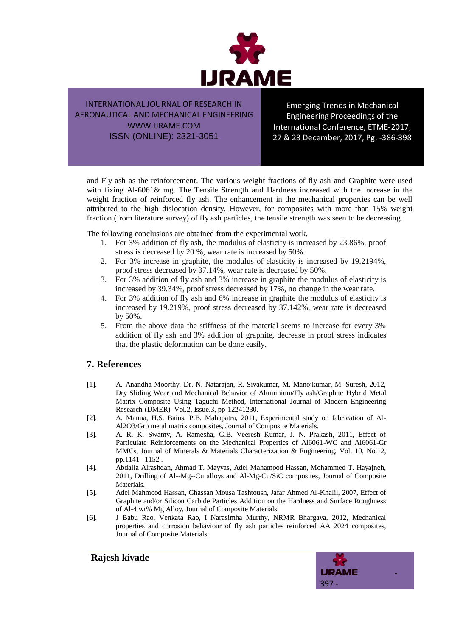

Emerging Trends in Mechanical Engineering Proceedings of the International Conference, ETME-2017, 27 & 28 December, 2017, Pg: -386-398

and Fly ash as the reinforcement. The various weight fractions of fly ash and Graphite were used with fixing Al-6061& mg. The Tensile Strength and Hardness increased with the increase in the weight fraction of reinforced fly ash. The enhancement in the mechanical properties can be well attributed to the high dislocation density. However, for composites with more than 15% weight fraction (from literature survey) of fly ash particles, the tensile strength was seen to be decreasing.

The following conclusions are obtained from the experimental work,

- 1. For 3% addition of fly ash, the modulus of elasticity is increased by 23.86%, proof stress is decreased by 20 %, wear rate is increased by 50%.
- 2. For 3% increase in graphite, the modulus of elasticity is increased by 19.2194%, proof stress decreased by 37.14%, wear rate is decreased by 50%.
- 3. For 3% addition of fly ash and 3% increase in graphite the modulus of elasticity is increased by 39.34%, proof stress decreased by 17%, no change in the wear rate.
- 4. For 3% addition of fly ash and 6% increase in graphite the modulus of elasticity is increased by 19.219%, proof stress decreased by 37.142%, wear rate is decreased by 50%.
- 5. From the above data the stiffness of the material seems to increase for every 3% addition of fly ash and 3% addition of graphite, decrease in proof stress indicates that the plastic deformation can be done easily.

## **7. References**

- [1]. A. Anandha Moorthy, Dr. N. Natarajan, R. Sivakumar, M. Manojkumar, M. Suresh, 2012, Dry Sliding Wear and Mechanical Behavior of Aluminium/Fly ash/Graphite Hybrid Metal Matrix Composite Using Taguchi Method, International Journal of Modern Engineering Research (IJMER) Vol.2, Issue.3, pp-12241230.
- [2]. A. Manna, H.S. Bains, P.B. Mahapatra, 2011, Experimental study on fabrication of Al-Al2O3/Grp metal matrix composites, Journal of Composite Materials.
- [3]. A. R. K. Swamy, A. Ramesha, G.B. Veeresh Kumar, J. N. Prakash, 2011, Effect of Particulate Reinforcements on the Mechanical Properties of Al6061-WC and Al6061-Gr MMCs, Journal of Minerals & Materials Characterization & Engineering, Vol. 10, No.12, pp.1141- 1152 .
- [4]. Abdalla Alrashdan, Ahmad T. Mayyas, Adel Mahamood Hassan, Mohammed T. Hayajneh, 2011, Drilling of Al--Mg--Cu alloys and Al-Mg-Cu/SiC composites, Journal of Composite **Materials**
- [5]. Adel Mahmood Hassan, Ghassan Mousa Tashtoush, Jafar Ahmed Al-Khalil, 2007, Effect of Graphite and/or Silicon Carbide Particles Addition on the Hardness and Surface Roughness of Al-4 wt% Mg Alloy, Journal of Composite Materials.
- [6]. J Babu Rao, Venkata Rao, I Narasimha Murthy, NRMR Bhargava, 2012, Mechanical properties and corrosion behaviour of fly ash particles reinforced AA 2024 composites, Journal of Composite Materials .